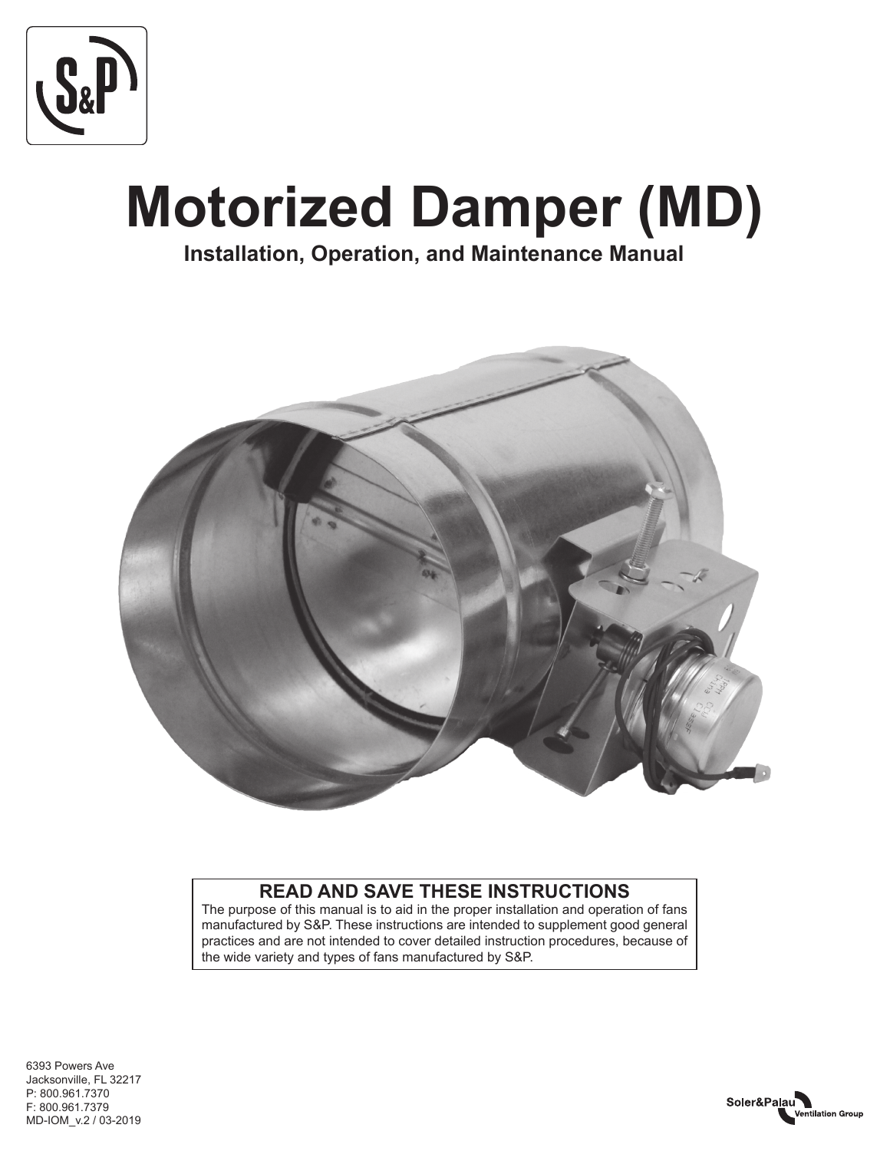

# **Motorized Damper (MD)**

**Installation, Operation, and Maintenance Manual**



# **READ AND SAVE THESE INSTRUCTIONS**

The purpose of this manual is to aid in the proper installation and operation of fans manufactured by S&P. These instructions are intended to supplement good general practices and are not intended to cover detailed instruction procedures, because of the wide variety and types of fans manufactured by S&P.

MD-IOM\_v.2 / 03-2019 6393 Powers Ave Jacksonville, FL 32217 P: 800.961.7370 F: 800.961.7379